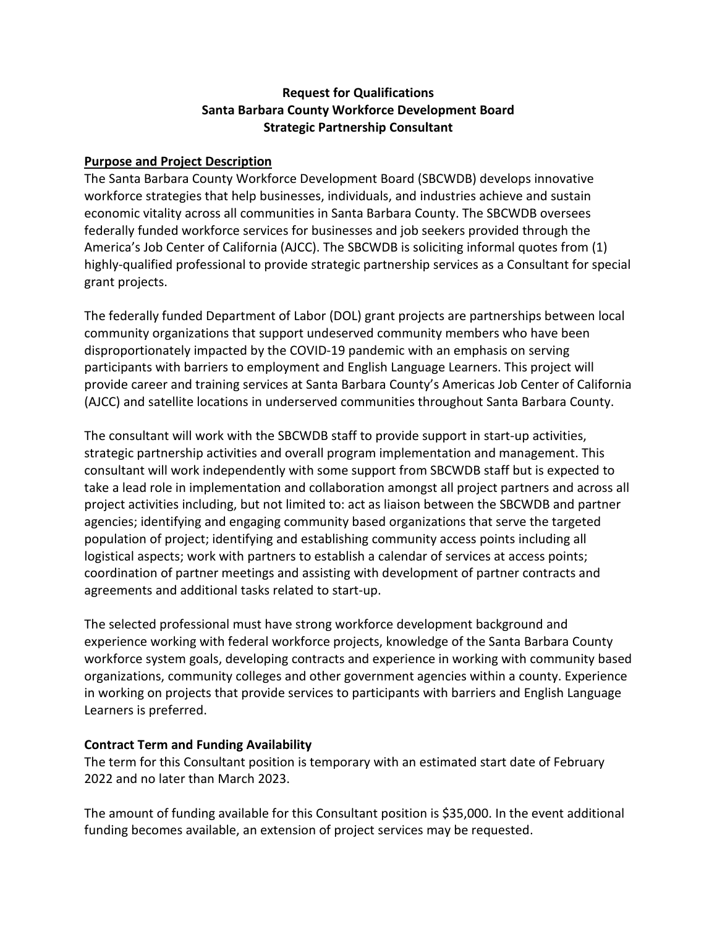# **Request for Qualifications Santa Barbara County Workforce Development Board Strategic Partnership Consultant**

#### **Purpose and Project Description**

The Santa Barbara County Workforce Development Board (SBCWDB) develops innovative workforce strategies that help businesses, individuals, and industries achieve and sustain economic vitality across all communities in Santa Barbara County. The SBCWDB oversees federally funded workforce services for businesses and job seekers provided through the America's Job Center of California (AJCC). The SBCWDB is soliciting informal quotes from (1) highly-qualified professional to provide strategic partnership services as a Consultant for special grant projects.

The federally funded Department of Labor (DOL) grant projects are partnerships between local community organizations that support undeserved community members who have been disproportionately impacted by the COVID-19 pandemic with an emphasis on serving participants with barriers to employment and English Language Learners. This project will provide career and training services at Santa Barbara County's Americas Job Center of California (AJCC) and satellite locations in underserved communities throughout Santa Barbara County.

The consultant will work with the SBCWDB staff to provide support in start-up activities, strategic partnership activities and overall program implementation and management. This consultant will work independently with some support from SBCWDB staff but is expected to take a lead role in implementation and collaboration amongst all project partners and across all project activities including, but not limited to: act as liaison between the SBCWDB and partner agencies; identifying and engaging community based organizations that serve the targeted population of project; identifying and establishing community access points including all logistical aspects; work with partners to establish a calendar of services at access points; coordination of partner meetings and assisting with development of partner contracts and agreements and additional tasks related to start-up.

The selected professional must have strong workforce development background and experience working with federal workforce projects, knowledge of the Santa Barbara County workforce system goals, developing contracts and experience in working with community based organizations, community colleges and other government agencies within a county. Experience in working on projects that provide services to participants with barriers and English Language Learners is preferred.

#### **Contract Term and Funding Availability**

The term for this Consultant position is temporary with an estimated start date of February 2022 and no later than March 2023.

The amount of funding available for this Consultant position is \$35,000. In the event additional funding becomes available, an extension of project services may be requested.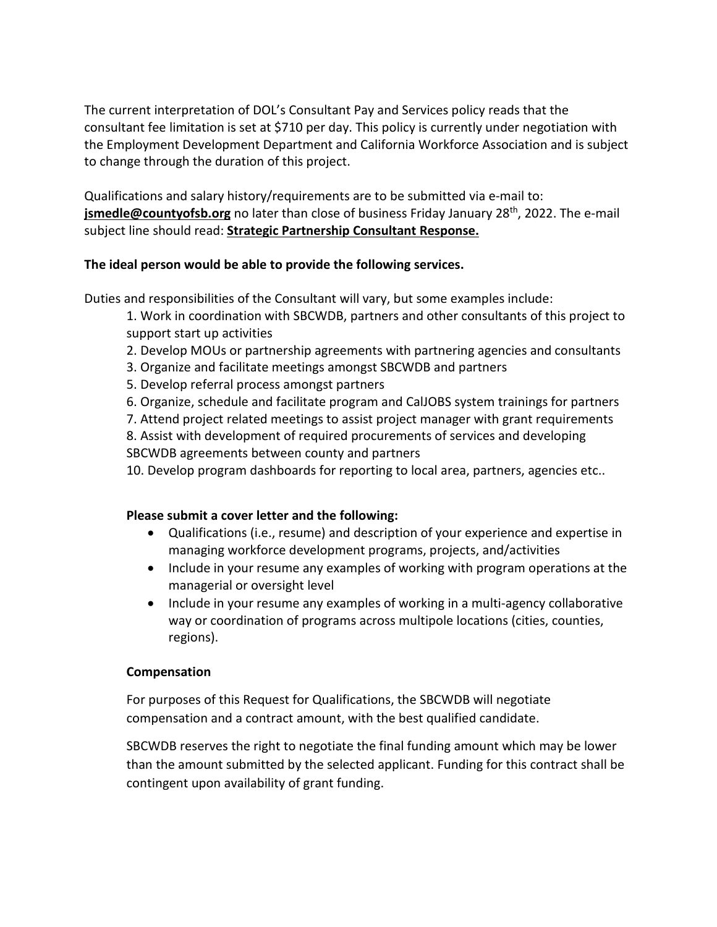The current interpretation of DOL's Consultant Pay and Services policy reads that the consultant fee limitation is set at \$710 per day. This policy is currently under negotiation with the Employment Development Department and California Workforce Association and is subject to change through the duration of this project.

Qualifications and salary history/requirements are to be submitted via e-mail to: **jsmedle@countyofsb.org** no later than close of business Friday January 28<sup>th</sup>, 2022. The e-mail subject line should read: **Strategic Partnership Consultant Response.**

# **The ideal person would be able to provide the following services.**

Duties and responsibilities of the Consultant will vary, but some examples include:

1. Work in coordination with SBCWDB, partners and other consultants of this project to support start up activities

- 2. Develop MOUs or partnership agreements with partnering agencies and consultants
- 3. Organize and facilitate meetings amongst SBCWDB and partners
- 5. Develop referral process amongst partners
- 6. Organize, schedule and facilitate program and CalJOBS system trainings for partners

7. Attend project related meetings to assist project manager with grant requirements

8. Assist with development of required procurements of services and developing SBCWDB agreements between county and partners

10. Develop program dashboards for reporting to local area, partners, agencies etc..

# **Please submit a cover letter and the following:**

- Qualifications (i.e., resume) and description of your experience and expertise in managing workforce development programs, projects, and/activities
- Include in your resume any examples of working with program operations at the managerial or oversight level
- Include in your resume any examples of working in a multi-agency collaborative way or coordination of programs across multipole locations (cities, counties, regions).

# **Compensation**

For purposes of this Request for Qualifications, the SBCWDB will negotiate compensation and a contract amount, with the best qualified candidate.

SBCWDB reserves the right to negotiate the final funding amount which may be lower than the amount submitted by the selected applicant. Funding for this contract shall be contingent upon availability of grant funding.